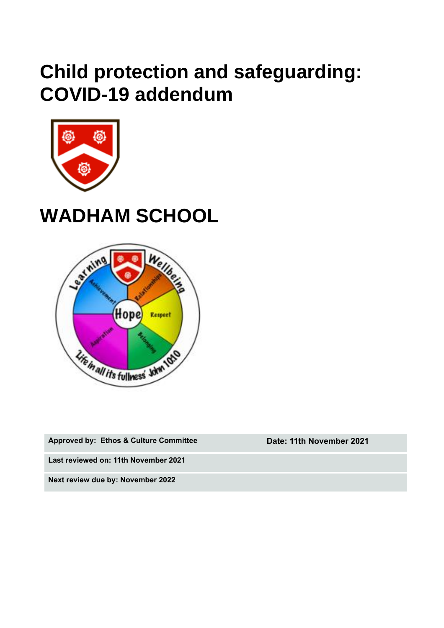## **Child protection and safeguarding: COVID-19 addendum**



# **WADHAM SCHOOL**



**Approved by: Ethos & Culture Committee Date: 11th November 2021**

**Last reviewed on: 11th November 2021**

**Next review due by: November 2022**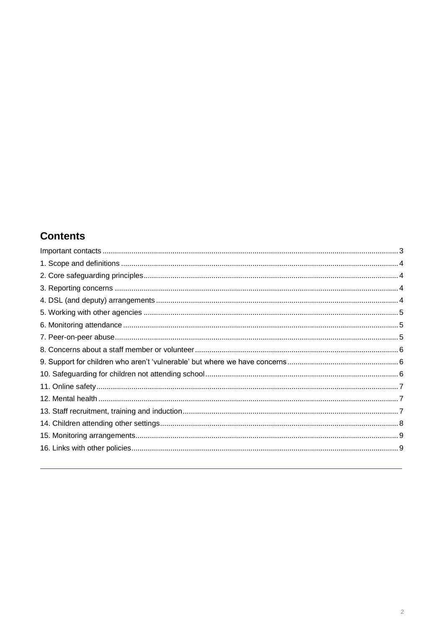## **Contents**

<span id="page-1-0"></span>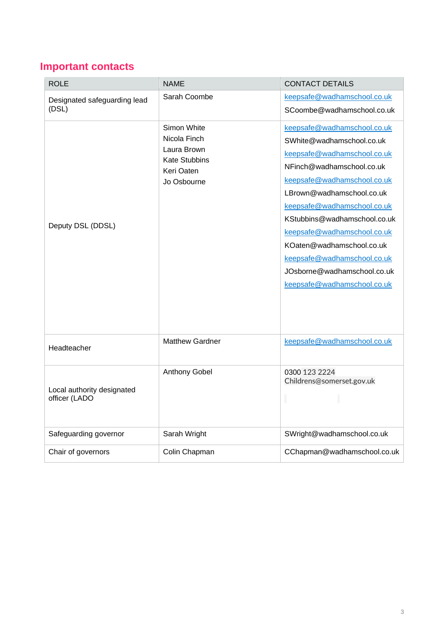## **Important contacts**

<span id="page-2-0"></span>

| <b>ROLE</b>                                 | <b>NAME</b>                                                                                     | <b>CONTACT DETAILS</b>                                                                                                  |
|---------------------------------------------|-------------------------------------------------------------------------------------------------|-------------------------------------------------------------------------------------------------------------------------|
| Designated safeguarding lead<br>(DSL)       | Sarah Coombe                                                                                    | keepsafe@wadhamschool.co.uk                                                                                             |
|                                             |                                                                                                 | SCoombe@wadhamschool.co.uk                                                                                              |
| Deputy DSL (DDSL)                           | Simon White<br>Nicola Finch<br>Laura Brown<br><b>Kate Stubbins</b><br>Keri Oaten<br>Jo Osbourne | keepsafe@wadhamschool.co.uk<br>SWhite@wadhamschool.co.uk<br>keepsafe@wadhamschool.co.uk                                 |
|                                             |                                                                                                 | NFinch@wadhamschool.co.uk<br>keepsafe@wadhamschool.co.uk                                                                |
|                                             |                                                                                                 | LBrown@wadhamschool.co.uk                                                                                               |
|                                             |                                                                                                 | keepsafe@wadhamschool.co.uk<br>KStubbins@wadhamschool.co.uk<br>keepsafe@wadhamschool.co.uk<br>KOaten@wadhamschool.co.uk |
|                                             |                                                                                                 | keepsafe@wadhamschool.co.uk<br>JOsborne@wadhamschool.co.uk<br>keepsafe@wadhamschool.co.uk                               |
| Headteacher                                 | <b>Matthew Gardner</b>                                                                          | keepsafe@wadhamschool.co.uk                                                                                             |
| Local authority designated<br>officer (LADO | Anthony Gobel                                                                                   | 0300 123 2224<br>Childrens@somerset.gov.uk                                                                              |
| Safeguarding governor                       | Sarah Wright                                                                                    | SWright@wadhamschool.co.uk                                                                                              |
| Chair of governors                          | Colin Chapman                                                                                   | CChapman@wadhamschool.co.uk                                                                                             |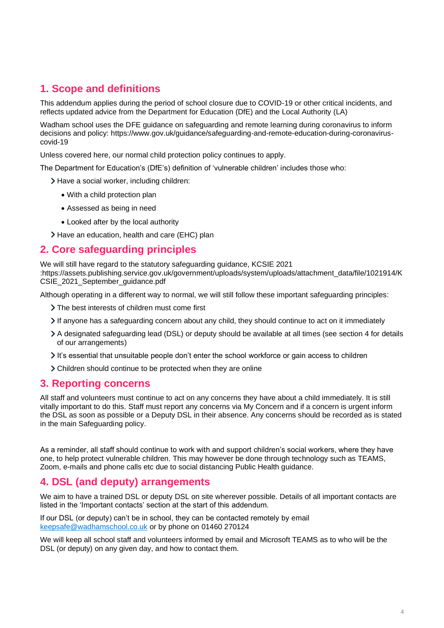## **1. Scope and definitions**

This addendum applies during the period of school closure due to COVID-19 or other critical incidents, and reflects updated advice from the Department for Education (DfE) and the Local Authority (LA)

Wadham school uses the DFE guidance on safeguarding and remote learning during coronavirus to inform decisions and policy: https://www.gov.uk/guidance/safeguarding-and-remote-education-during-coronaviruscovid-19

Unless covered here, our normal child protection policy continues to apply.

The Department for Education's (DfE's) definition of 'vulnerable children' includes those who:

- > Have a social worker, including children:
	- With a child protection plan
	- Assessed as being in need
	- Looked after by the local authority
- Have an education, health and care (EHC) plan

#### <span id="page-3-0"></span>**2. Core safeguarding principles**

We will still have regard to the statutory safeguarding guidance, KCSIE 2021 :https://assets.publishing.service.gov.uk/government/uploads/system/uploads/attachment\_data/file/1021914/K CSIE\_2021\_September\_guidance.pdf

Although operating in a different way to normal, we will still follow these important safeguarding principles:

- The best interests of children must come first
- If anyone has a safeguarding concern about any child, they should continue to act on it immediately
- A designated safeguarding lead (DSL) or deputy should be available at all times (see section 4 for details of our arrangements)
- It's essential that unsuitable people don't enter the school workforce or gain access to children
- Children should continue to be protected when they are online

#### <span id="page-3-1"></span>**3. Reporting concerns**

All staff and volunteers must continue to act on any concerns they have about a child immediately. It is still vitally important to do this. Staff must report any concerns via My Concern and if a concern is urgent inform the DSL as soon as possible or a Deputy DSL in their absence. Any concerns should be recorded as is stated in the main Safeguarding policy.

As a reminder, all staff should continue to work with and support children's social workers, where they have one, to help protect vulnerable children. This may however be done through technology such as TEAMS, Zoom, e-mails and phone calls etc due to social distancing Public Health guidance.

#### <span id="page-3-2"></span>**4. DSL (and deputy) arrangements**

We aim to have a trained DSL or deputy DSL on site wherever possible. Details of all important contacts are listed in the 'Important contacts' section at the start of this addendum.

If our DSL (or deputy) can't be in school, they can be contacted remotely by email [keepsafe@wadhamschool.co.uk](mailto:keepsafe@wadhamschool.co.uk) or by phone on 01460 270124

We will keep all school staff and volunteers informed by email and Microsoft TEAMS as to who will be the DSL (or deputy) on any given day, and how to contact them.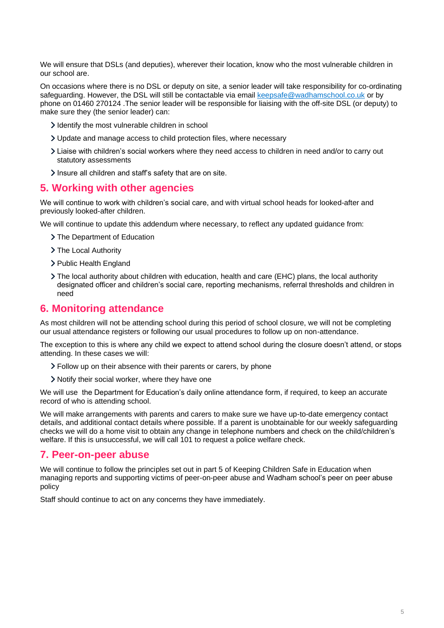We will ensure that DSLs (and deputies), wherever their location, know who the most vulnerable children in our school are.

On occasions where there is no DSL or deputy on site, a senior leader will take responsibility for co-ordinating safeguarding. However, the DSL will still be contactable via email [keepsafe@wadhamschool.co.uk](mailto:keepsafe@wadhamschool.co.uk) or by phone on 01460 270124 .The senior leader will be responsible for liaising with the off-site DSL (or deputy) to make sure they (the senior leader) can:

- I dentify the most vulnerable children in school
- Update and manage access to child protection files, where necessary
- Liaise with children's social workers where they need access to children in need and/or to carry out statutory assessments
- Insure all children and staff's safety that are on site.

#### <span id="page-4-0"></span>**5. Working with other agencies**

We will continue to work with children's social care, and with virtual school heads for looked-after and previously looked-after children.

We will continue to update this addendum where necessary, to reflect any updated guidance from:

- > The Department of Education
- > The Local Authority
- > Public Health England
- The local authority about children with education, health and care (EHC) plans, the local authority designated officer and children's social care, reporting mechanisms, referral thresholds and children in need

#### <span id="page-4-1"></span>**6. Monitoring attendance**

As most children will not be attending school during this period of school closure, we will not be completing our usual attendance registers or following our usual procedures to follow up on non-attendance.

The exception to this is where any child we expect to attend school during the closure doesn't attend, or stops attending. In these cases we will:

- Follow up on their absence with their parents or carers, by phone
- > Notify their social worker, where they have one

We will use the Department for Education's daily online attendance form, if required, to keep an accurate record of who is attending school.

We will make arrangements with parents and carers to make sure we have up-to-date emergency contact details, and additional contact details where possible. If a parent is unobtainable for our weekly safeguarding checks we will do a home visit to obtain any change in telephone numbers and check on the child/children's welfare. If this is unsuccessful, we will call 101 to request a police welfare check.

#### <span id="page-4-2"></span>**7. Peer-on-peer abuse**

We will continue to follow the principles set out in part 5 of Keeping Children Safe in Education when managing reports and supporting victims of peer-on-peer abuse and Wadham school's peer on peer abuse policy

<span id="page-4-3"></span>Staff should continue to act on any concerns they have immediately.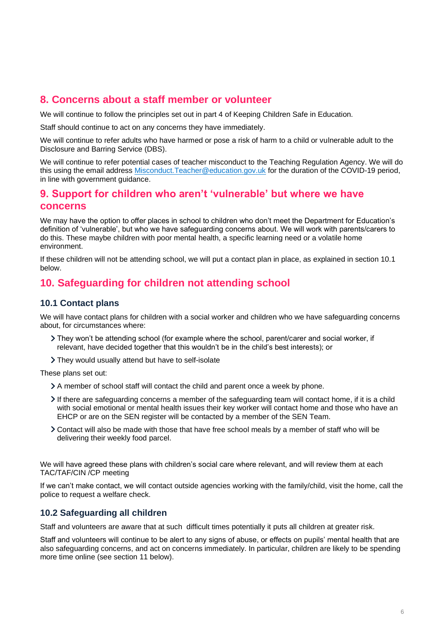## **8. Concerns about a staff member or volunteer**

We will continue to follow the principles set out in part 4 of Keeping Children Safe in Education.

Staff should continue to act on any concerns they have immediately.

We will continue to refer adults who have harmed or pose a risk of harm to a child or vulnerable adult to the Disclosure and Barring Service (DBS).

We will continue to refer potential cases of teacher misconduct to the Teaching Regulation Agency. We will do this using the email address Misconduct. Teacher@education.gov.uk for the duration of the COVID-19 period, in line with government guidance.

#### <span id="page-5-0"></span>**9. Support for children who aren't 'vulnerable' but where we have concerns**

We may have the option to offer places in school to children who don't meet the Department for Education's definition of 'vulnerable', but who we have safeguarding concerns about. We will work with parents/carers to do this. These maybe children with poor mental health, a specific learning need or a volatile home environment.

If these children will not be attending school, we will put a contact plan in place, as explained in section 10.1 below.

### <span id="page-5-1"></span>**10. Safeguarding for children not attending school**

#### **10.1 Contact plans**

We will have contact plans for children with a social worker and children who we have safeguarding concerns about, for circumstances where:

- They won't be attending school (for example where the school, parent/carer and social worker, if relevant, have decided together that this wouldn't be in the child's best interests); or
- They would usually attend but have to self-isolate

These plans set out:

- A member of school staff will contact the child and parent once a week by phone.
- If there are safeguarding concerns a member of the safeguarding team will contact home, if it is a child with social emotional or mental health issues their key worker will contact home and those who have an EHCP or are on the SEN register will be contacted by a member of the SEN Team.
- Contact will also be made with those that have free school meals by a member of staff who will be delivering their weekly food parcel.

We will have agreed these plans with children's social care where relevant, and will review them at each TAC/TAF/CIN /CP meeting

If we can't make contact, we will contact outside agencies working with the family/child, visit the home, call the police to request a welfare check.

#### **10.2 Safeguarding all children**

Staff and volunteers are aware that at such difficult times potentially it puts all children at greater risk.

Staff and volunteers will continue to be alert to any signs of abuse, or effects on pupils' mental health that are also safeguarding concerns, and act on concerns immediately. In particular, children are likely to be spending more time online (see section 11 below).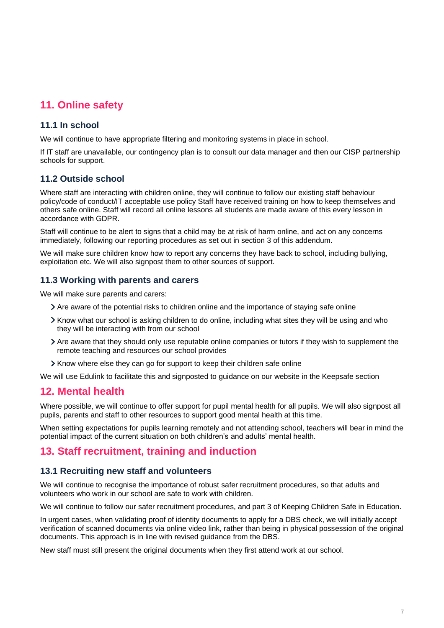## <span id="page-6-0"></span>**11. Online safety**

#### **11.1 In school**

We will continue to have appropriate filtering and monitoring systems in place in school.

If IT staff are unavailable, our contingency plan is to consult our data manager and then our CISP partnership schools for support.

#### **11.2 Outside school**

Where staff are interacting with children online, they will continue to follow our existing staff behaviour policy/code of conduct/IT acceptable use policy Staff have received training on how to keep themselves and others safe online. Staff will record all online lessons all students are made aware of this every lesson in accordance with GDPR.

Staff will continue to be alert to signs that a child may be at risk of harm online, and act on any concerns immediately, following our reporting procedures as set out in section 3 of this addendum.

We will make sure children know how to report any concerns they have back to school, including bullying, exploitation etc. We will also signpost them to other sources of support.

#### **11.3 Working with parents and carers**

We will make sure parents and carers:

- Are aware of the potential risks to children online and the importance of staying safe online
- Know what our school is asking children to do online, including what sites they will be using and who they will be interacting with from our school
- Are aware that they should only use reputable online companies or tutors if they wish to supplement the remote teaching and resources our school provides
- If Know where else they can go for support to keep their children safe online

We will use Edulink to facilitate this and signposted to guidance on our website in the Keepsafe section

#### <span id="page-6-1"></span>**12. Mental health**

Where possible, we will continue to offer support for pupil mental health for all pupils. We will also signpost all pupils, parents and staff to other resources to support good mental health at this time.

When setting expectations for pupils learning remotely and not attending school, teachers will bear in mind the potential impact of the current situation on both children's and adults' mental health.

### <span id="page-6-2"></span>**13. Staff recruitment, training and induction**

#### **13.1 Recruiting new staff and volunteers**

We will continue to recognise the importance of robust safer recruitment procedures, so that adults and volunteers who work in our school are safe to work with children.

We will continue to follow our safer recruitment procedures, and part 3 of Keeping Children Safe in Education.

In urgent cases, when validating proof of identity documents to apply for a DBS check, we will initially accept verification of scanned documents via online video link, rather than being in physical possession of the original documents. This approach is in line with revised guidance from the DBS.

New staff must still present the original documents when they first attend work at our school.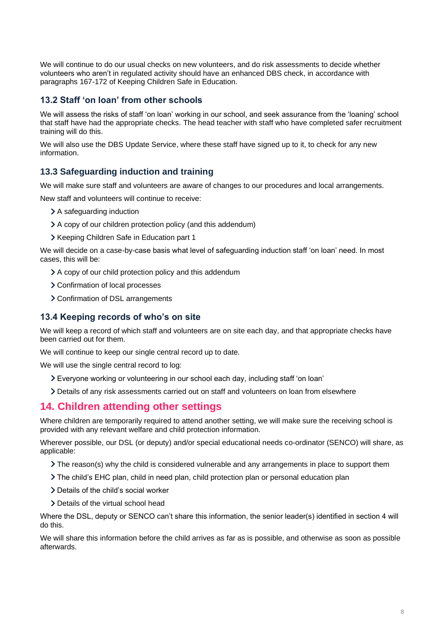We will continue to do our usual checks on new volunteers, and do risk assessments to decide whether volunteers who aren't in regulated activity should have an enhanced DBS check, in accordance with paragraphs 167-172 of Keeping Children Safe in Education.

#### **13.2 Staff 'on loan' from other schools**

We will assess the risks of staff 'on loan' working in our school, and seek assurance from the 'loaning' school that staff have had the appropriate checks. The head teacher with staff who have completed safer recruitment training will do this.

We will also use the DBS Update Service, where these staff have signed up to it, to check for any new information.

#### **13.3 Safeguarding induction and training**

We will make sure staff and volunteers are aware of changes to our procedures and local arrangements.

New staff and volunteers will continue to receive:

- > A safeguarding induction
- A copy of our children protection policy (and this addendum)
- > Keeping Children Safe in Education part 1

We will decide on a case-by-case basis what level of safeguarding induction staff 'on loan' need. In most cases, this will be:

- A copy of our child protection policy and this addendum
- > Confirmation of local processes
- > Confirmation of DSL arrangements

#### **13.4 Keeping records of who's on site**

We will keep a record of which staff and volunteers are on site each day, and that appropriate checks have been carried out for them.

We will continue to keep our single central record up to date.

We will use the single central record to log:

- Everyone working or volunteering in our school each day, including staff 'on loan'
- Details of any risk assessments carried out on staff and volunteers on loan from elsewhere

#### <span id="page-7-0"></span>**14. Children attending other settings**

Where children are temporarily required to attend another setting, we will make sure the receiving school is provided with any relevant welfare and child protection information.

Wherever possible, our DSL (or deputy) and/or special educational needs co-ordinator (SENCO) will share, as applicable:

- $\geq$  The reason(s) why the child is considered vulnerable and any arrangements in place to support them
- The child's EHC plan, child in need plan, child protection plan or personal education plan
- > Details of the child's social worker
- > Details of the virtual school head

Where the DSL, deputy or SENCO can't share this information, the senior leader(s) identified in section 4 will do this.

We will share this information before the child arrives as far as is possible, and otherwise as soon as possible afterwards.